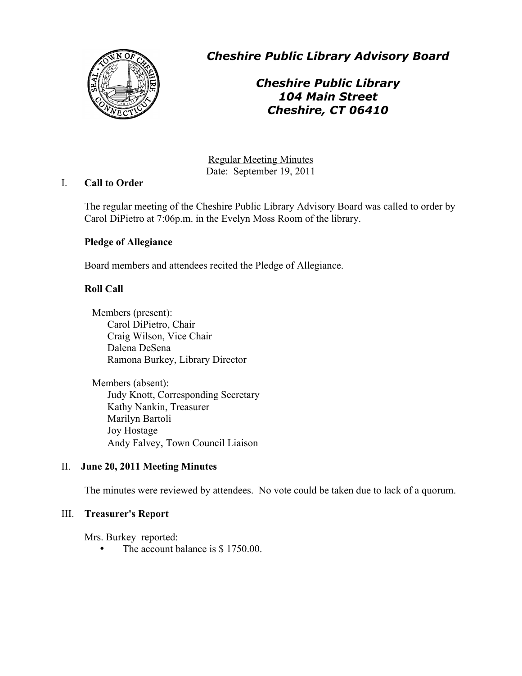

*Cheshire Public Library Advisory Board*

# *Cheshire Public Library 104 Main Street Cheshire, CT 06410*

Regular Meeting Minutes Date: September 19, 2011

## I. **Call to Order**

The regular meeting of the Cheshire Public Library Advisory Board was called to order by Carol DiPietro at 7:06p.m. in the Evelyn Moss Room of the library.

## **Pledge of Allegiance**

Board members and attendees recited the Pledge of Allegiance.

## **Roll Call**

Members (present): Carol DiPietro, Chair Craig Wilson, Vice Chair Dalena DeSena Ramona Burkey, Library Director

Members (absent): Judy Knott, Corresponding Secretary Kathy Nankin, Treasurer Marilyn Bartoli Joy Hostage Andy Falvey, Town Council Liaison

## II. **June 20, 2011 Meeting Minutes**

The minutes were reviewed by attendees. No vote could be taken due to lack of a quorum.

## III. **Treasurer's Report**

Mrs. Burkey reported:

The account balance is \$ 1750.00.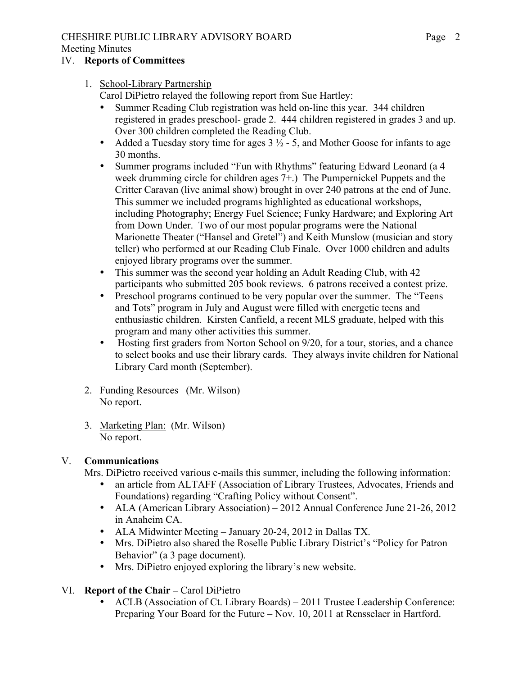# CHESHIRE PUBLIC LIBRARY ADVISORY BOARD

## Meeting Minutes

# IV. **Reports of Committees**

- 1. School-Library Partnership
	- Carol DiPietro relayed the following report from Sue Hartley:
	- Summer Reading Club registration was held on-line this year. 344 children registered in grades preschool- grade 2. 444 children registered in grades 3 and up. Over 300 children completed the Reading Club.
	- Added a Tuesday story time for ages  $3\frac{1}{2}$  5, and Mother Goose for infants to age 30 months.
	- Summer programs included "Fun with Rhythms" featuring Edward Leonard (a 4 week drumming circle for children ages 7+.) The Pumpernickel Puppets and the Critter Caravan (live animal show) brought in over 240 patrons at the end of June. This summer we included programs highlighted as educational workshops, including Photography; Energy Fuel Science; Funky Hardware; and Exploring Art from Down Under. Two of our most popular programs were the National Marionette Theater ("Hansel and Gretel") and Keith Munslow (musician and story teller) who performed at our Reading Club Finale. Over 1000 children and adults enjoyed library programs over the summer.
	- This summer was the second year holding an Adult Reading Club, with 42 participants who submitted 205 book reviews. 6 patrons received a contest prize.
	- Preschool programs continued to be very popular over the summer. The "Teens and Tots" program in July and August were filled with energetic teens and enthusiastic children. Kirsten Canfield, a recent MLS graduate, helped with this program and many other activities this summer.
	- Hosting first graders from Norton School on 9/20, for a tour, stories, and a chance to select books and use their library cards. They always invite children for National Library Card month (September).
- 2. Funding Resources (Mr. Wilson) No report.
- 3. Marketing Plan: (Mr. Wilson) No report.

# V. **Communications**

Mrs. DiPietro received various e-mails this summer, including the following information:

- an article from ALTAFF (Association of Library Trustees, Advocates, Friends and Foundations) regarding "Crafting Policy without Consent".
- ALA (American Library Association) 2012 Annual Conference June 21-26, 2012 in Anaheim CA.
- ALA Midwinter Meeting January 20-24, 2012 in Dallas TX.
- Mrs. DiPietro also shared the Roselle Public Library District's "Policy for Patron Behavior" (a 3 page document).
- Mrs. DiPietro enjoyed exploring the library's new website.
- VI. **Report of the Chair –** Carol DiPietro
	- ACLB (Association of Ct. Library Boards) 2011 Trustee Leadership Conference: Preparing Your Board for the Future – Nov. 10, 2011 at Rensselaer in Hartford.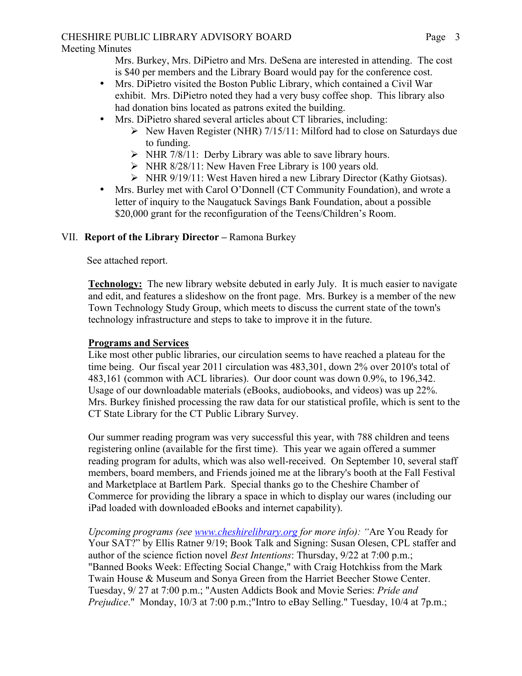# CHESHIRE PUBLIC LIBRARY ADVISORY BOARD

Mrs. Burkey, Mrs. DiPietro and Mrs. DeSena are interested in attending. The cost is \$40 per members and the Library Board would pay for the conference cost.

- Mrs. DiPietro visited the Boston Public Library, which contained a Civil War exhibit. Mrs. DiPietro noted they had a very busy coffee shop. This library also had donation bins located as patrons exited the building.
- Mrs. DiPietro shared several articles about CT libraries, including:
	- $\triangleright$  New Haven Register (NHR) 7/15/11: Milford had to close on Saturdays due to funding.
	- $\triangleright$  NHR 7/8/11: Derby Library was able to save library hours.
	- $\triangleright$  NHR 8/28/11: New Haven Free Library is 100 years old.
	- NHR 9/19/11: West Haven hired a new Library Director (Kathy Giotsas).
- Mrs. Burley met with Carol O'Donnell (CT Community Foundation), and wrote a letter of inquiry to the Naugatuck Savings Bank Foundation, about a possible \$20,000 grant for the reconfiguration of the Teens/Children's Room.

# VII. **Report of the Library Director –** Ramona Burkey

See attached report.

**Technology:** The new library website debuted in early July. It is much easier to navigate and edit, and features a slideshow on the front page. Mrs. Burkey is a member of the new Town Technology Study Group, which meets to discuss the current state of the town's technology infrastructure and steps to take to improve it in the future.

# **Programs and Services**

Like most other public libraries, our circulation seems to have reached a plateau for the time being. Our fiscal year 2011 circulation was 483,301, down 2% over 2010's total of 483,161 (common with ACL libraries). Our door count was down 0.9%, to 196,342. Usage of our downloadable materials (eBooks, audiobooks, and videos) was up 22%. Mrs. Burkey finished processing the raw data for our statistical profile, which is sent to the CT State Library for the CT Public Library Survey.

Our summer reading program was very successful this year, with 788 children and teens registering online (available for the first time). This year we again offered a summer reading program for adults, which was also well-received. On September 10, several staff members, board members, and Friends joined me at the library's booth at the Fall Festival and Marketplace at Bartlem Park. Special thanks go to the Cheshire Chamber of Commerce for providing the library a space in which to display our wares (including our iPad loaded with downloaded eBooks and internet capability).

*Upcoming programs (see www.cheshirelibrary.org for more info): "*Are You Ready for Your SAT?" by Ellis Ratner 9/19; Book Talk and Signing: Susan Olesen, CPL staffer and author of the science fiction novel *Best Intentions*: Thursday, 9/22 at 7:00 p.m.; "Banned Books Week: Effecting Social Change," with Craig Hotchkiss from the Mark Twain House & Museum and Sonya Green from the Harriet Beecher Stowe Center. Tuesday, 9/ 27 at 7:00 p.m.; "Austen Addicts Book and Movie Series: *Pride and Prejudice.*" Monday, 10/3 at 7:00 p.m.; "Intro to eBay Selling." Tuesday, 10/4 at 7p.m.;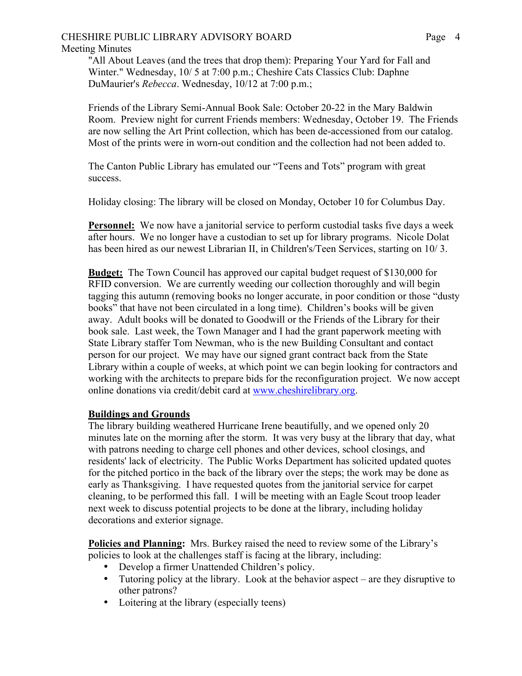#### CHESHIRE PUBLIC LIBRARY ADVISORY BOARD Meeting Minutes

"All About Leaves (and the trees that drop them): Preparing Your Yard for Fall and Winter." Wednesday, 10/ 5 at 7:00 p.m.; Cheshire Cats Classics Club: Daphne DuMaurier's *Rebecca*. Wednesday, 10/12 at 7:00 p.m.;

Friends of the Library Semi-Annual Book Sale: October 20-22 in the Mary Baldwin Room. Preview night for current Friends members: Wednesday, October 19. The Friends are now selling the Art Print collection, which has been de-accessioned from our catalog. Most of the prints were in worn-out condition and the collection had not been added to.

The Canton Public Library has emulated our "Teens and Tots" program with great success.

Holiday closing: The library will be closed on Monday, October 10 for Columbus Day.

**Personnel:** We now have a janitorial service to perform custodial tasks five days a week after hours. We no longer have a custodian to set up for library programs. Nicole Dolat has been hired as our newest Librarian II, in Children's/Teen Services, starting on 10/3.

**Budget:** The Town Council has approved our capital budget request of \$130,000 for RFID conversion. We are currently weeding our collection thoroughly and will begin tagging this autumn (removing books no longer accurate, in poor condition or those "dusty books" that have not been circulated in a long time). Children's books will be given away. Adult books will be donated to Goodwill or the Friends of the Library for their book sale. Last week, the Town Manager and I had the grant paperwork meeting with State Library staffer Tom Newman, who is the new Building Consultant and contact person for our project. We may have our signed grant contract back from the State Library within a couple of weeks, at which point we can begin looking for contractors and working with the architects to prepare bids for the reconfiguration project. We now accept online donations via credit/debit card at www.cheshirelibrary.org.

## **Buildings and Grounds**

The library building weathered Hurricane Irene beautifully, and we opened only 20 minutes late on the morning after the storm. It was very busy at the library that day, what with patrons needing to charge cell phones and other devices, school closings, and residents' lack of electricity. The Public Works Department has solicited updated quotes for the pitched portico in the back of the library over the steps; the work may be done as early as Thanksgiving. I have requested quotes from the janitorial service for carpet cleaning, to be performed this fall. I will be meeting with an Eagle Scout troop leader next week to discuss potential projects to be done at the library, including holiday decorations and exterior signage.

**Policies and Planning:** Mrs. Burkey raised the need to review some of the Library's policies to look at the challenges staff is facing at the library, including:

- Develop a firmer Unattended Children's policy.
- Tutoring policy at the library. Look at the behavior aspect are they disruptive to other patrons?
- Loitering at the library (especially teens)